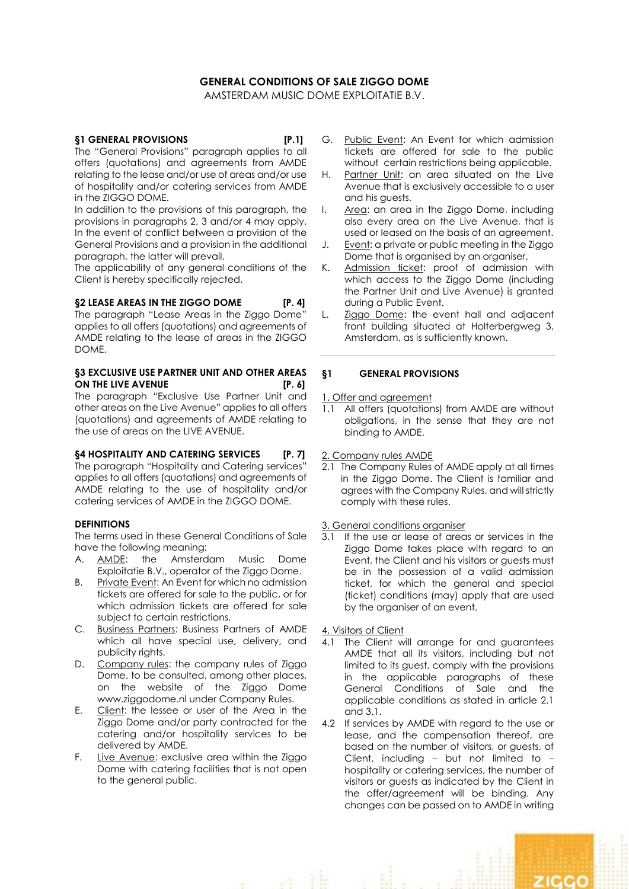# **GENERAL CONDITIONS OF SALE ZIGGO DOME**

AMSTERDAM MUSIC DOME EXPLOITATIE B.V.

## **§1 GENERAL PROVISIONS [P.1]**

The "General Provisions" paragraph applies to all offers (quotations) and agreements from AMDE relating to the lease and/or use of areas and/or use of hospitality and/or catering services from AMDE in the ZIGGO DOME.

In addition to the provisions of this paragraph, the provisions in paragraphs 2, 3 and/or 4 may apply. In the event of conflict between a provision of the General Provisions and a provision in the additional paragraph, the latter will prevail.

The applicability of any general conditions of the Client is hereby specifically rejected.

## **§2 LEASE AREAS IN THE ZIGGO DOME [P. 4]**

The paragraph "Lease Areas in the Ziggo Dome" applies to all offers (quotations) and agreements of AMDE relating to the lease of areas in the ZIGGO DOME.

### **§3 EXCLUSIVE USE PARTNER UNIT AND OTHER AREAS ON THE LIVE AVENUE [P. 6]**

The paragraph "Exclusive Use Partner Unit and other areas on the Live Avenue" applies to all offers (quotations) and agreements of AMDE relating to the use of areas on the LIVE AVENUE.

## **§4 HOSPITALITY AND CATERING SERVICES [P. 7]**

The paragraph "Hospitality and Catering services" applies to all offers (quotations) and agreements of AMDE relating to the use of hospitality and/or catering services of AMDE in the ZIGGO DOME.

## **DEFINITIONS**

The terms used in these General Conditions of Sale have the following meaning:

- A. AMDE: the Amsterdam Music Dome Exploitatie B.V., operator of the Ziggo Dome.
- B. Private Event: An Event for which no admission tickets are offered for sale to the public, or for which admission tickets are offered for sale subject to certain restrictions.
- C. Business Partners: Business Partners of AMDE which all have special use, delivery, and publicity rights.
- D. Company rules: the company rules of Ziggo Dome, to be consulted, among other places, on the website of the Ziggo Dome www.ziggodome.nl under Company Rules.
- E. Client: the lessee or user of the Area in the Ziggo Dome and/or party contracted for the catering and/or hospitality services to be delivered by AMDE.
- F. Live Avenue: exclusive area within the Ziggo Dome with catering facilities that is not open to the general public.
- G. Public Event: An Event for which admission tickets are offered for sale to the public without certain restrictions being applicable.
- H. Partner Unit: an area situated on the Live Avenue that is exclusively accessible to a user and his guests.
- I. Area: an area in the Ziggo Dome, including also every area on the Live Avenue, that is used or leased on the basis of an agreement.
- J. Event: a private or public meeting in the Ziggo Dome that is organised by an organiser.
- K. Admission ticket: proof of admission with which access to the Ziggo Dome (including the Partner Unit and Live Avenue) is granted during a Public Event.
- L. Ziggo Dome: the event hall and adjacent front building situated at Holterbergweg 3, Amsterdam, as is sufficiently known.

## **§1 GENERAL PROVISIONS**

1. Offer and agreement

1.1 All offers (quotations) from AMDE are without obligations, in the sense that they are not binding to AMDE.

### 2. Company rules AMDE

2.1 The Company Rules of AMDE apply at all times in the Ziggo Dome. The Client is familiar and agrees with the Company Rules, and will strictly comply with these rules.

### 3. General conditions organiser

3.1 If the use or lease of areas or services in the Ziggo Dome takes place with regard to an Event, the Client and his visitors or guests must be in the possession of a valid admission ticket, for which the general and special (ticket) conditions (may) apply that are used by the organiser of an event.

4. Visitors of Client

- 4.1 The Client will arrange for and guarantees AMDE that all its visitors, including but not limited to its guest, comply with the provisions in the applicable paragraphs of these General Conditions of Sale and the applicable conditions as stated in article 2.1 and 3.1.
- 4.2 If services by AMDE with regard to the use or lease, and the compensation thereof, are based on the number of visitors, or guests, of Client, including – but not limited to – hospitality or catering services, the number of visitors or guests as indicated by the Client in the offer/agreement will be binding. Any changes can be passed on to AMDE in writing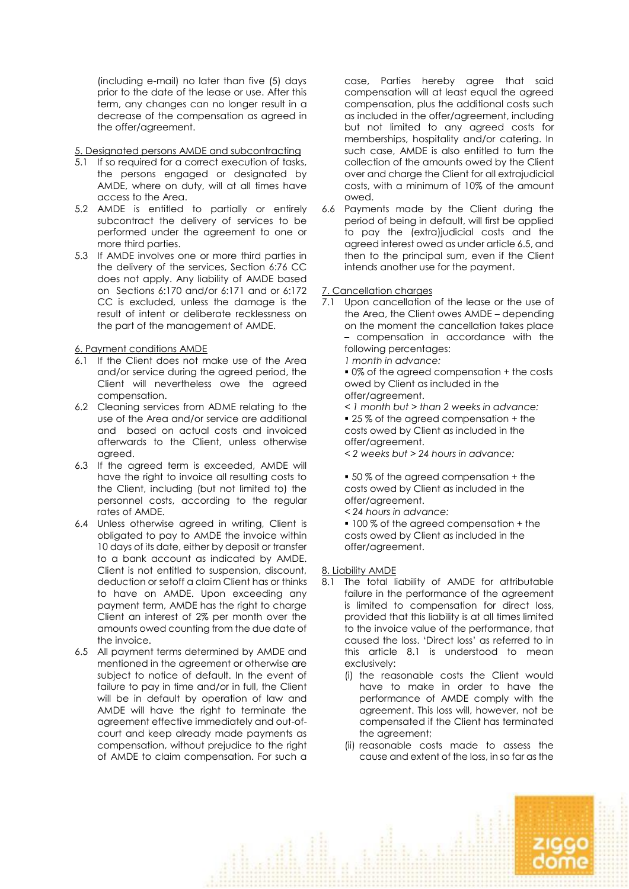(including e-mail) no later than five (5) days prior to the date of the lease or use. After this term, any changes can no longer result in a decrease of the compensation as agreed in the offer/agreement.

## 5. Designated persons AMDE and subcontracting

- 5.1 If so required for a correct execution of tasks, the persons engaged or designated by AMDE, where on duty, will at all times have access to the Area.
- 5.2 AMDE is entitled to partially or entirely subcontract the delivery of services to be performed under the agreement to one or more third parties.
- 5.3 If AMDE involves one or more third parties in the delivery of the services, Section 6:76 CC does not apply. Any liability of AMDE based on Sections 6:170 and/or 6:171 and or 6:172 CC is excluded, unless the damage is the result of intent or deliberate recklessness on the part of the management of AMDE.

## 6. Payment conditions AMDE

- 6.1 If the Client does not make use of the Area and/or service during the agreed period, the Client will nevertheless owe the agreed compensation.
- 6.2 Cleaning services from ADME relating to the use of the Area and/or service are additional and based on actual costs and invoiced afterwards to the Client, unless otherwise agreed.
- 6.3 If the agreed term is exceeded, AMDE will have the right to invoice all resulting costs to the Client, including (but not limited to) the personnel costs, according to the regular rates of AMDE.
- 6.4 Unless otherwise agreed in writing, Client is obligated to pay to AMDE the invoice within 10 days of its date, either by deposit or transfer to a bank account as indicated by AMDE. Client is not entitled to suspension, discount, deduction or setoff a claim Client has or thinks to have on AMDE. Upon exceeding any payment term, AMDE has the right to charge Client an interest of 2% per month over the amounts owed counting from the due date of the invoice.
- 6.5 All payment terms determined by AMDE and mentioned in the agreement or otherwise are subject to notice of default. In the event of failure to pay in time and/or in full, the Client will be in default by operation of law and AMDE will have the right to terminate the agreement effective immediately and out-ofcourt and keep already made payments as compensation, without prejudice to the right of AMDE to claim compensation. For such a

case, Parties hereby agree that said compensation will at least equal the agreed compensation, plus the additional costs such as included in the offer/agreement, including but not limited to any agreed costs for memberships, hospitality and/or catering. In such case, AMDE is also entitled to turn the collection of the amounts owed by the Client over and charge the Client for all extrajudicial costs, with a minimum of 10% of the amount owed.

6.6 Payments made by the Client during the period of being in default, will first be applied to pay the (extra)judicial costs and the agreed interest owed as under article 6.5, and then to the principal sum, even if the Client intends another use for the payment.

## 7. Cancellation charges

7.1 Upon cancellation of the lease or the use of the Area, the Client owes AMDE – depending on the moment the cancellation takes place – compensation in accordance with the following percentages:

*1 month in advance:* 

■ 0% of the agreed compensation + the costs owed by Client as included in the offer/agreement.

*< 1 month but > than 2 weeks in advance:* ■ 25% of the agreed compensation + the costs owed by Client as included in the offer/agreement.

*< 2 weeks but > 24 hours in advance:*

■ 50% of the agreed compensation + the costs owed by Client as included in the offer/agreement.

*< 24 hours in advance:*

■ 100 % of the agreed compensation + the costs owed by Client as included in the offer/agreement.

## 8. Liability AMDE

- 8.1 The total liability of AMDE for attributable failure in the performance of the agreement is limited to compensation for direct loss, provided that this liability is at all times limited to the invoice value of the performance, that caused the loss. 'Direct loss' as referred to in this article 8.1 is understood to mean exclusively:
	- (i) the reasonable costs the Client would have to make in order to have the performance of AMDE comply with the agreement. This loss will, however, not be compensated if the Client has terminated the agreement;
	- (ii) reasonable costs made to assess the cause and extent of the loss, in so far as the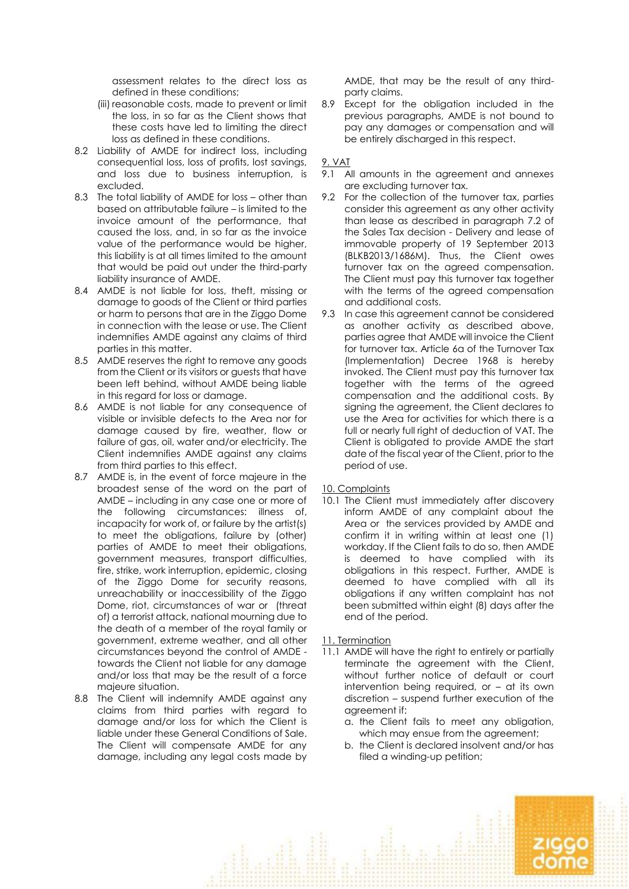assessment relates to the direct loss as defined in these conditions;

- (iii) reasonable costs, made to prevent or limit the loss, in so far as the Client shows that these costs have led to limiting the direct loss as defined in these conditions.
- 8.2 Liability of AMDE for indirect loss, including consequential loss, loss of profits, lost savings, and loss due to business interruption, is excluded.
- 8.3 The total liability of AMDE for loss other than based on attributable failure – is limited to the invoice amount of the performance, that caused the loss, and, in so far as the invoice value of the performance would be higher, this liability is at all times limited to the amount that would be paid out under the third-party liability insurance of AMDE.
- 8.4 AMDE is not liable for loss, theft, missing or damage to goods of the Client or third parties or harm to persons that are in the Ziggo Dome in connection with the lease or use. The Client indemnifies AMDE against any claims of third parties in this matter.
- 8.5 AMDE reserves the right to remove any goods from the Client or its visitors or guests that have been left behind, without AMDE being liable in this regard for loss or damage.
- 8.6 AMDE is not liable for any consequence of visible or invisible defects to the Area nor for damage caused by fire, weather, flow or failure of gas, oil, water and/or electricity. The Client indemnifies AMDE against any claims from third parties to this effect.
- 8.7 AMDE is, in the event of force majeure in the broadest sense of the word on the part of AMDE – including in any case one or more of the following circumstances: illness of, incapacity for work of, or failure by the artist(s) to meet the obligations, failure by (other) parties of AMDE to meet their obligations, government measures, transport difficulties, fire, strike, work interruption, epidemic, closing of the Ziggo Dome for security reasons, unreachability or inaccessibility of the Ziggo Dome, riot, circumstances of war or (threat of) a terrorist attack, national mourning due to the death of a member of the royal family or government, extreme weather, and all other circumstances beyond the control of AMDE towards the Client not liable for any damage and/or loss that may be the result of a force majeure situation.
- 8.8 The Client will indemnify AMDE against any claims from third parties with regard to damage and/or loss for which the Client is liable under these General Conditions of Sale. The Client will compensate AMDE for any damage, including any legal costs made by

AMDE, that may be the result of any thirdparty claims.

8.9 Except for the obligation included in the previous paragraphs, AMDE is not bound to pay any damages or compensation and will be entirely discharged in this respect.

### 9. VAT

- 9.1 All amounts in the agreement and annexes are excluding turnover tax.
- 9.2 For the collection of the turnover tax, parties consider this agreement as any other activity than lease as described in paragraph 7.2 of the Sales Tax decision - Delivery and lease of immovable property of 19 September 2013 (BLKB2013/1686M). Thus, the Client owes turnover tax on the agreed compensation. The Client must pay this turnover tax together with the terms of the agreed compensation and additional costs.
- 9.3 In case this agreement cannot be considered as another activity as described above, parties agree that AMDE will invoice the Client for turnover tax. Article 6a of the Turnover Tax (Implementation) Decree 1968 is hereby invoked. The Client must pay this turnover tax together with the terms of the agreed compensation and the additional costs. By signing the agreement, the Client declares to use the Area for activities for which there is a full or nearly full right of deduction of VAT. The Client is obligated to provide AMDE the start date of the fiscal year of the Client, prior to the period of use.
- 10. Complaints
- 10.1 The Client must immediately after discovery inform AMDE of any complaint about the Area or the services provided by AMDE and confirm it in writing within at least one (1) workday. If the Client fails to do so, then AMDE is deemed to have complied with its obligations in this respect. Further, AMDE is deemed to have complied with all its obligations if any written complaint has not been submitted within eight (8) days after the end of the period.
- 11. Termination
- 11.1 AMDE will have the right to entirely or partially terminate the agreement with the Client, without further notice of default or court intervention being required, or – at its own discretion – suspend further execution of the agreement if:
	- a. the Client fails to meet any obligation, which may ensue from the agreement;
	- b. the Client is declared insolvent and/or has filed a winding-up petition;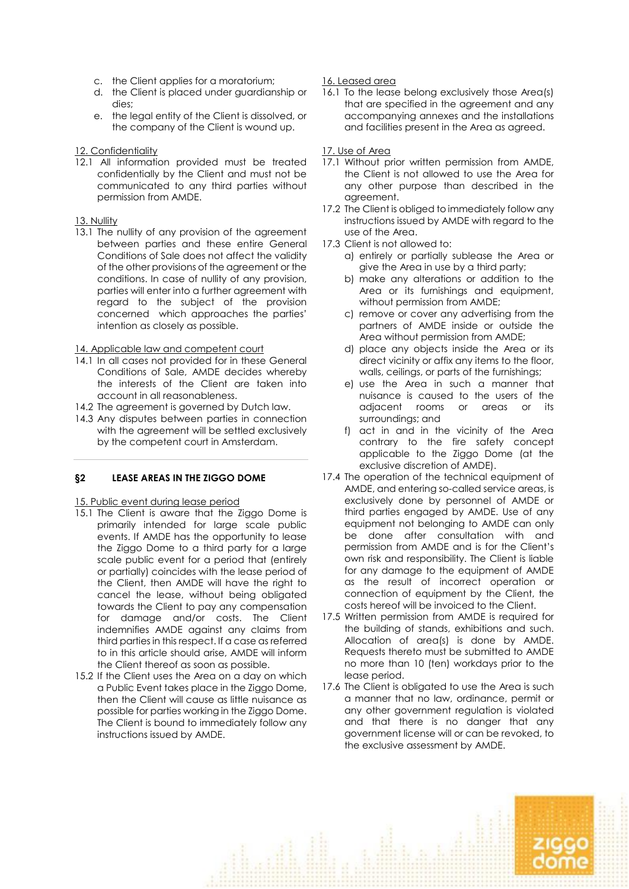- c. the Client applies for a moratorium;
- d. the Client is placed under guardianship or dies;
- e. the legal entity of the Client is dissolved, or the company of the Client is wound up.

## 12. Confidentiality

12.1 All information provided must be treated confidentially by the Client and must not be communicated to any third parties without permission from AMDE.

### 13. Nullity

13.1 The nullity of any provision of the agreement between parties and these entire General Conditions of Sale does not affect the validity of the other provisions of the agreement or the conditions. In case of nullity of any provision, parties will enter into a further agreement with regard to the subject of the provision concerned which approaches the parties' intention as closely as possible.

### 14. Applicable law and competent court

- 14.1 In all cases not provided for in these General Conditions of Sale, AMDE decides whereby the interests of the Client are taken into account in all reasonableness.
- 14.2 The agreement is governed by Dutch law.
- 14.3 Any disputes between parties in connection with the agreement will be settled exclusively by the competent court in Amsterdam.

## **§2 LEASE AREAS IN THE ZIGGO DOME**

## 15. Public event during lease period

- 15.1 The Client is aware that the Ziggo Dome is primarily intended for large scale public events. If AMDE has the opportunity to lease the Ziggo Dome to a third party for a large scale public event for a period that (entirely or partially) coincides with the lease period of the Client, then AMDE will have the right to cancel the lease, without being obligated towards the Client to pay any compensation for damage and/or costs. The Client indemnifies AMDE against any claims from third parties in this respect. If a case as referred to in this article should arise, AMDE will inform the Client thereof as soon as possible.
- 15.2 If the Client uses the Area on a day on which a Public Event takes place in the Ziggo Dome, then the Client will cause as little nuisance as possible for parties working in the Ziggo Dome. The Client is bound to immediately follow any instructions issued by AMDE.

## 16. Leased area

16.1 To the lease belong exclusively those Area(s) that are specified in the agreement and any accompanying annexes and the installations and facilities present in the Area as agreed.

### 17. Use of Area

- 17.1 Without prior written permission from AMDE, the Client is not allowed to use the Area for any other purpose than described in the agreement.
- 17.2 The Client is obliged to immediately follow any instructions issued by AMDE with regard to the use of the Area.
- 17.3 Client is not allowed to:
	- a) entirely or partially sublease the Area or give the Area in use by a third party;
	- b) make any alterations or addition to the Area or its furnishings and equipment, without permission from AMDE;
	- c) remove or cover any advertising from the partners of AMDE inside or outside the Area without permission from AMDE;
	- d) place any objects inside the Area or its direct vicinity or affix any items to the floor, walls, ceilings, or parts of the furnishings;
	- e) use the Area in such a manner that nuisance is caused to the users of the adjacent rooms or areas or its surroundings; and
	- f) act in and in the vicinity of the Area contrary to the fire safety concept applicable to the Ziggo Dome (at the exclusive discretion of AMDE).
- 17.4 The operation of the technical equipment of AMDE, and entering so-called service areas, is exclusively done by personnel of AMDE or third parties engaged by AMDE. Use of any equipment not belonging to AMDE can only be done after consultation with and permission from AMDE and is for the Client's own risk and responsibility. The Client is liable for any damage to the equipment of AMDE as the result of incorrect operation or connection of equipment by the Client, the costs hereof will be invoiced to the Client.
- 17.5 Written permission from AMDE is required for the building of stands, exhibitions and such. Allocation of area(s) is done by AMDE. Requests thereto must be submitted to AMDE no more than 10 (ten) workdays prior to the lease period.
- 17.6 The Client is obligated to use the Area is such a manner that no law, ordinance, permit or any other government regulation is violated and that there is no danger that any government license will or can be revoked, to the exclusive assessment by AMDE.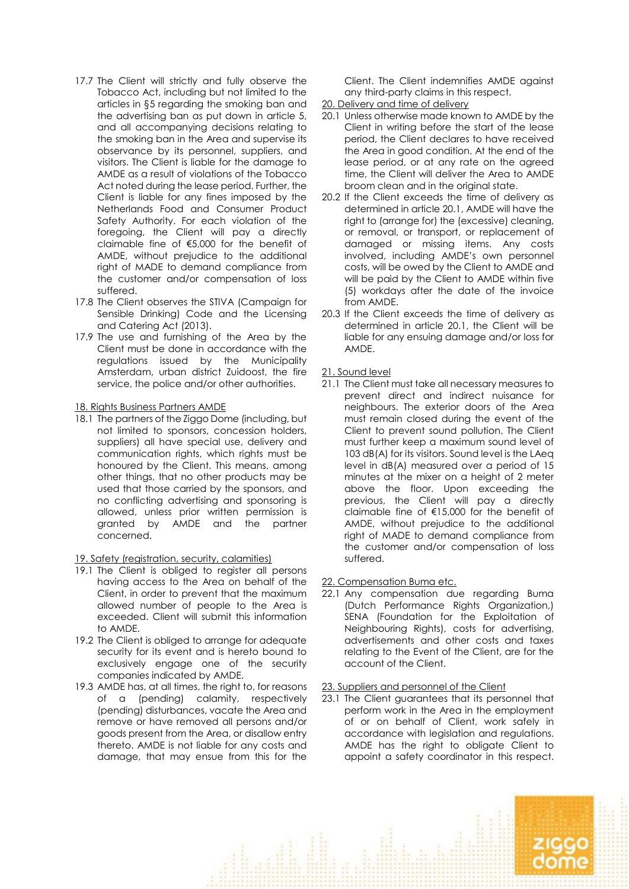- 17.7 The Client will strictly and fully observe the Tobacco Act, including but not limited to the articles in §5 regarding the smoking ban and the advertising ban as put down in article 5, and all accompanying decisions relating to the smoking ban in the Area and supervise its observance by its personnel, suppliers, and visitors. The Client is liable for the damage to AMDE as a result of violations of the Tobacco Act noted during the lease period. Further, the Client is liable for any fines imposed by the Netherlands Food and Consumer Product Safety Authority. For each violation of the foregoing, the Client will pay a directly claimable fine of €5,000 for the benefit of AMDE, without prejudice to the additional right of MADE to demand compliance from the customer and/or compensation of loss suffered.
- 17.8 The Client observes the STIVA (Campaign for Sensible Drinking) Code and the Licensing and Catering Act (2013).
- 17.9 The use and furnishing of the Area by the Client must be done in accordance with the regulations issued by the Municipality Amsterdam, urban district Zuidoost, the fire service, the police and/or other authorities.

18. Rights Business Partners AMDE

18.1 The partners of the Ziggo Dome (including, but not limited to sponsors, concession holders, suppliers) all have special use, delivery and communication rights, which rights must be honoured by the Client. This means, among other things, that no other products may be used that those carried by the sponsors, and no conflicting advertising and sponsoring is allowed, unless prior written permission is granted by AMDE and the partner concerned.

19. Safety (registration, security, calamities)

- 19.1 The Client is obliged to register all persons having access to the Area on behalf of the Client, in order to prevent that the maximum allowed number of people to the Area is exceeded. Client will submit this information to AMDE.
- 19.2 The Client is obliged to arrange for adequate security for its event and is hereto bound to exclusively engage one of the security companies indicated by AMDE.
- 19.3 AMDE has, at all times, the right to, for reasons of a (pending) calamity, respectively (pending) disturbances, vacate the Area and remove or have removed all persons and/or goods present from the Area, or disallow entry thereto. AMDE is not liable for any costs and damage, that may ensue from this for the

Client. The Client indemnifies AMDE against any third-party claims in this respect.

- 20. Delivery and time of delivery
- 20.1 Unless otherwise made known to AMDE by the Client in writing before the start of the lease period, the Client declares to have received the Area in good condition. At the end of the lease period, or at any rate on the agreed time, the Client will deliver the Area to AMDE broom clean and in the original state.
- 20.2 If the Client exceeds the time of delivery as determined in article 20.1, AMDE will have the right to (arrange for) the (excessive) cleaning, or removal, or transport, or replacement of damaged or missing items. Any costs involved, including AMDE's own personnel costs, will be owed by the Client to AMDE and will be paid by the Client to AMDE within five (5) workdays after the date of the invoice from AMDE.
- 20.3 If the Client exceeds the time of delivery as determined in article 20.1, the Client will be liable for any ensuing damage and/or loss for AMDE.

21. Sound level

- 21.1 The Client must take all necessary measures to prevent direct and indirect nuisance for neighbours. The exterior doors of the Area must remain closed during the event of the Client to prevent sound pollution. The Client must further keep a maximum sound level of 103 dB(A) for its visitors. Sound level is the LAeq level in dB(A) measured over a period of 15 minutes at the mixer on a height of 2 meter above the floor. Upon exceeding the previous, the Client will pay a directly claimable fine of €15,000 for the benefit of AMDE, without prejudice to the additional right of MADE to demand compliance from the customer and/or compensation of loss suffered.
- 22. Compensation Buma etc.
- 22.1 Any compensation due regarding Buma (Dutch Performance Rights Organization,) SENA (Foundation for the Exploitation of Neighbouring Rights), costs for advertising, advertisements and other costs and taxes relating to the Event of the Client, are for the account of the Client.

23. Suppliers and personnel of the Client

23.1 The Client guarantees that its personnel that perform work in the Area in the employment of or on behalf of Client, work safely in accordance with legislation and regulations. AMDE has the right to obligate Client to appoint a safety coordinator in this respect.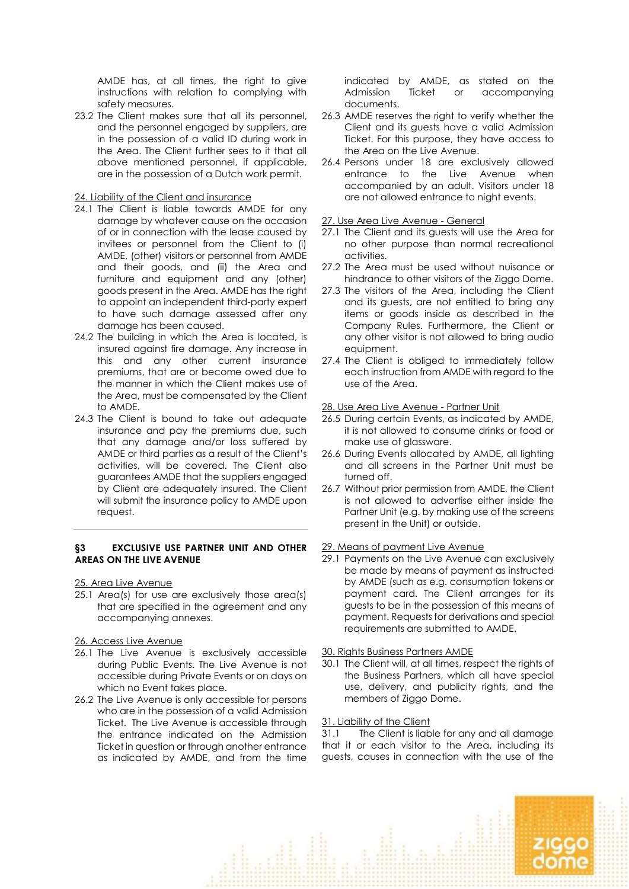AMDE has, at all times, the right to give instructions with relation to complying with safety measures.

23.2 The Client makes sure that all its personnel, and the personnel engaged by suppliers, are in the possession of a valid ID during work in the Area. The Client further sees to it that all above mentioned personnel, if applicable, are in the possession of a Dutch work permit.

### 24. Liability of the Client and insurance

- 24.1 The Client is liable towards AMDE for any damage by whatever cause on the occasion of or in connection with the lease caused by invitees or personnel from the Client to (i) AMDE, (other) visitors or personnel from AMDE and their goods, and (ii) the Area and furniture and equipment and any (other) goods present in the Area. AMDE has the right to appoint an independent third-party expert to have such damage assessed after any damage has been caused.
- 24.2 The building in which the Area is located, is insured against fire damage. Any increase in this and any other current insurance premiums, that are or become owed due to the manner in which the Client makes use of the Area, must be compensated by the Client to AMDE.
- 24.3 The Client is bound to take out adequate insurance and pay the premiums due, such that any damage and/or loss suffered by AMDE or third parties as a result of the Client's activities, will be covered. The Client also guarantees AMDE that the suppliers engaged by Client are adequately insured. The Client will submit the insurance policy to AMDE upon request.

## **§3 EXCLUSIVE USE PARTNER UNIT AND OTHER AREAS ON THE LIVE AVENUE**

25. Area Live Avenue

25.1 Area(s) for use are exclusively those area(s) that are specified in the agreement and any accompanying annexes.

### 26. Access Live Avenue

- 26.1 The Live Avenue is exclusively accessible during Public Events. The Live Avenue is not accessible during Private Events or on days on which no Event takes place.
- 26.2 The Live Avenue is only accessible for persons who are in the possession of a valid Admission Ticket. The Live Avenue is accessible through the entrance indicated on the Admission Ticket in question or through another entrance as indicated by AMDE, and from the time

indicated by AMDE, as stated on the Admission Ticket or accompanying documents.

- 26.3 AMDE reserves the right to verify whether the Client and its guests have a valid Admission Ticket. For this purpose, they have access to the Area on the Live Avenue.
- 26.4 Persons under 18 are exclusively allowed entrance to the Live Avenue when accompanied by an adult. Visitors under 18 are not allowed entrance to night events.

### 27. Use Area Live Avenue - General

- 27.1 The Client and its guests will use the Area for no other purpose than normal recreational activities.
- 27.2 The Area must be used without nuisance or hindrance to other visitors of the Ziggo Dome.
- 27.3 The visitors of the Area, including the Client and its guests, are not entitled to bring any items or goods inside as described in the Company Rules. Furthermore, the Client or any other visitor is not allowed to bring audio equipment.
- 27.4 The Client is obliged to immediately follow each instruction from AMDE with regard to the use of the Area.

### 28. Use Area Live Avenue - Partner Unit

- 26.5 During certain Events, as indicated by AMDE, it is not allowed to consume drinks or food or make use of glassware.
- 26.6 During Events allocated by AMDE, all lighting and all screens in the Partner Unit must be turned off.
- 26.7 Without prior permission from AMDE, the Client is not allowed to advertise either inside the Partner Unit (e.g. by making use of the screens present in the Unit) or outside.

### 29. Means of payment Live Avenue

29.1 Payments on the Live Avenue can exclusively be made by means of payment as instructed by AMDE (such as e.g. consumption tokens or payment card. The Client arranges for its guests to be in the possession of this means of payment. Requests for derivations and special requirements are submitted to AMDE.

### 30. Rights Business Partners AMDE

30.1 The Client will, at all times, respect the rights of the Business Partners, which all have special use, delivery, and publicity rights, and the members of Ziggo Dome.

### 31. Liability of the Client

31.1 The Client is liable for any and all damage that it or each visitor to the Area, including its guests, causes in connection with the use of the